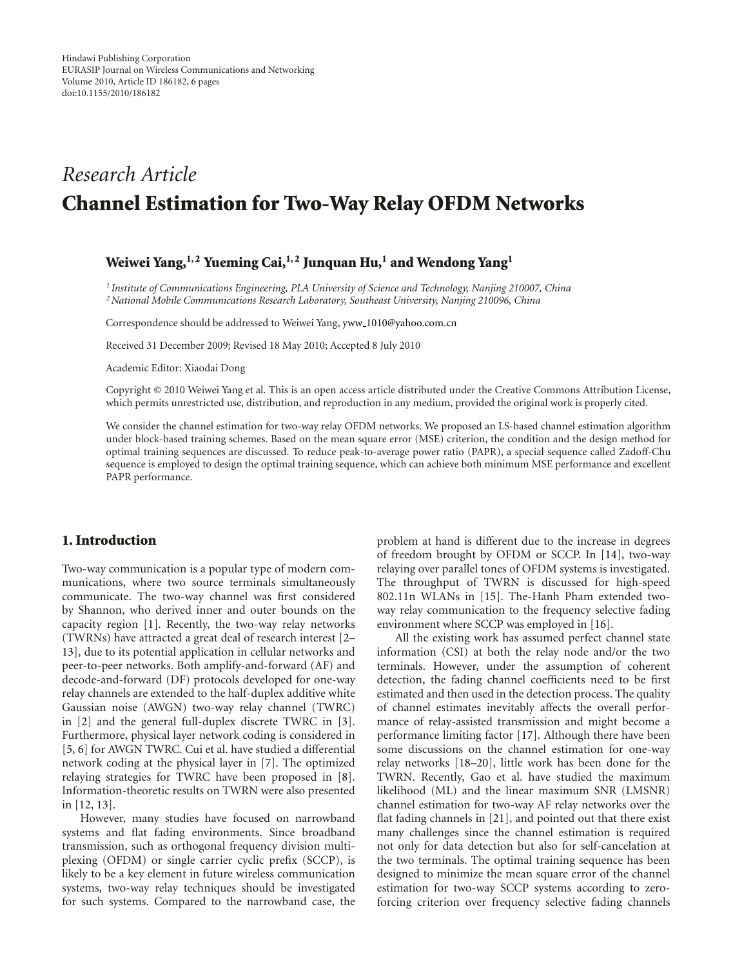# *Research Article* **Channel Estimation for Two-Way Relay OFDM Networks**

# **Weiwei Yang,1, 2 Yueming Cai,1, 2 Junquan Hu,1 and Wendong Yang1**

*<sup>1</sup> Institute of Communications Engineering, PLA University of Science and Technology, Nanjing 210007, China 2National Mobile Communications Research Laboratory, Southeast University, Nanjing 210096, China*

Correspondence should be addressed to Weiwei Yang, yww 1010@yahoo.com.cn

Received 31 December 2009; Revised 18 May 2010; Accepted 8 July 2010

Academic Editor: Xiaodai Dong

Copyright © 2010 Weiwei Yang et al. This is an open access article distributed under the Creative Commons Attribution License, which permits unrestricted use, distribution, and reproduction in any medium, provided the original work is properly cited.

We consider the channel estimation for two-way relay OFDM networks. We proposed an LS-based channel estimation algorithm under block-based training schemes. Based on the mean square error (MSE) criterion, the condition and the design method for optimal training sequences are discussed. To reduce peak-to-average power ratio (PAPR), a special sequence called Zadoff-Chu sequence is employed to design the optimal training sequence, which can achieve both minimum MSE performance and excellent PAPR performance.

# **1. Introduction**

Two-way communication is a popular type of modern communications, where two source terminals simultaneously communicate. The two-way channel was first considered by Shannon, who derived inner and outer bounds on the capacity region [1]. Recently, the two-way relay networks (TWRNs) have attracted a great deal of research interest [2– 13], due to its potential application in cellular networks and peer-to-peer networks. Both amplify-and-forward (AF) and decode-and-forward (DF) protocols developed for one-way relay channels are extended to the half-duplex additive white Gaussian noise (AWGN) two-way relay channel (TWRC) in [2] and the general full-duplex discrete TWRC in [3]. Furthermore, physical layer network coding is considered in [5, 6] for AWGN TWRC. Cui et al. have studied a differential network coding at the physical layer in [7]. The optimized relaying strategies for TWRC have been proposed in [8]. Information-theoretic results on TWRN were also presented in [12, 13].

However, many studies have focused on narrowband systems and flat fading environments. Since broadband transmission, such as orthogonal frequency division multiplexing (OFDM) or single carrier cyclic prefix (SCCP), is likely to be a key element in future wireless communication systems, two-way relay techniques should be investigated for such systems. Compared to the narrowband case, the

problem at hand is different due to the increase in degrees of freedom brought by OFDM or SCCP. In [14], two-way relaying over parallel tones of OFDM systems is investigated. The throughput of TWRN is discussed for high-speed 802.11n WLANs in [15]. The-Hanh Pham extended twoway relay communication to the frequency selective fading environment where SCCP was employed in [16].

All the existing work has assumed perfect channel state information (CSI) at both the relay node and/or the two terminals. However, under the assumption of coherent detection, the fading channel coefficients need to be first estimated and then used in the detection process. The quality of channel estimates inevitably affects the overall performance of relay-assisted transmission and might become a performance limiting factor [17]. Although there have been some discussions on the channel estimation for one-way relay networks [18–20], little work has been done for the TWRN. Recently, Gao et al. have studied the maximum likelihood (ML) and the linear maximum SNR (LMSNR) channel estimation for two-way AF relay networks over the flat fading channels in [21], and pointed out that there exist many challenges since the channel estimation is required not only for data detection but also for self-cancelation at the two terminals. The optimal training sequence has been designed to minimize the mean square error of the channel estimation for two-way SCCP systems according to zeroforcing criterion over frequency selective fading channels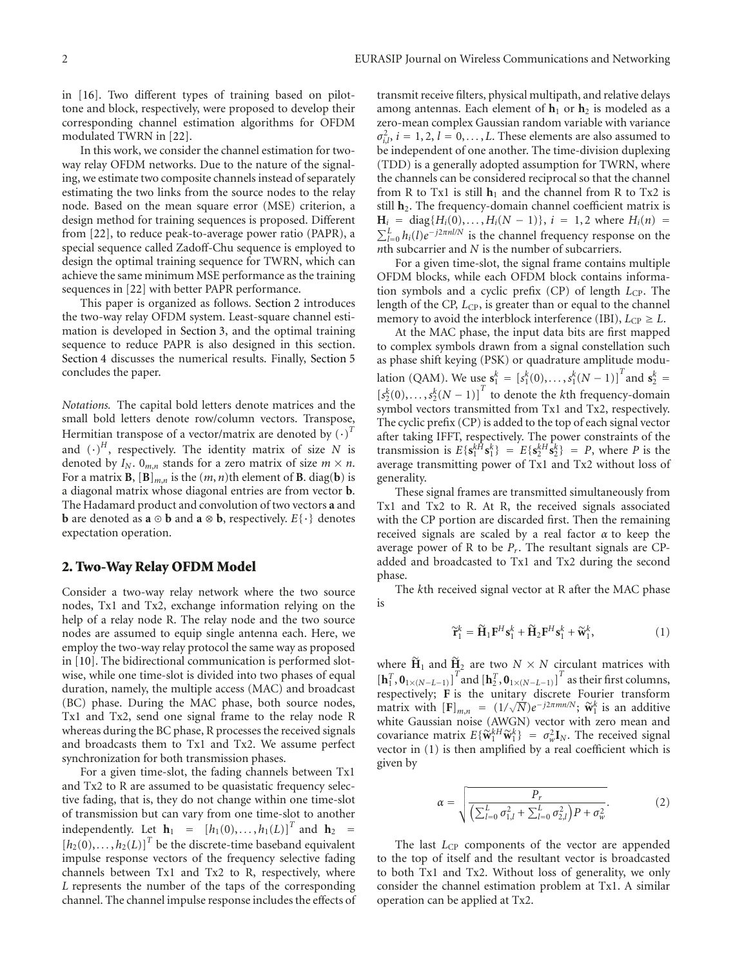in [16]. Two different types of training based on pilottone and block, respectively, were proposed to develop their corresponding channel estimation algorithms for OFDM modulated TWRN in [22].

In this work, we consider the channel estimation for twoway relay OFDM networks. Due to the nature of the signaling, we estimate two composite channels instead of separately estimating the two links from the source nodes to the relay node. Based on the mean square error (MSE) criterion, a design method for training sequences is proposed. Different from [22], to reduce peak-to-average power ratio (PAPR), a special sequence called Zadoff-Chu sequence is employed to design the optimal training sequence for TWRN, which can achieve the same minimum MSE performance as the training sequences in [22] with better PAPR performance.

This paper is organized as follows. Section 2 introduces the two-way relay OFDM system. Least-square channel estimation is developed in Section 3, and the optimal training sequence to reduce PAPR is also designed in this section. Section 4 discusses the numerical results. Finally, Section 5 concludes the paper.

*Notations.* The capital bold letters denote matrices and the small bold letters denote row/column vectors. Transpose, Hermitian transpose of a vector/matrix are denoted by  $(\cdot)^T$ and  $(\cdot)^H$ , respectively. The identity matrix of size *N* is denoted by  $I_N$ .  $0_{m,n}$  stands for a zero matrix of size  $m \times n$ . For a matrix **B**,  $[\mathbf{B}]_{m,n}$  is the  $(m, n)$ th element of **B**. diag(**b**) is a diagonal matrix whose diagonal entries are from vector **b**. The Hadamard product and convolution of two vectors **a** and **b** are denoted as  $\mathbf{a} \odot \mathbf{b}$  and  $\mathbf{a} \otimes \mathbf{b}$ , respectively.  $E\{\cdot\}$  denotes expectation operation.

#### **2. Two-Way Relay OFDM Model**

Consider a two-way relay network where the two source nodes, Tx1 and Tx2, exchange information relying on the help of a relay node R. The relay node and the two source nodes are assumed to equip single antenna each. Here, we employ the two-way relay protocol the same way as proposed in [10]. The bidirectional communication is performed slotwise, while one time-slot is divided into two phases of equal duration, namely, the multiple access (MAC) and broadcast (BC) phase. During the MAC phase, both source nodes, Tx1 and Tx2, send one signal frame to the relay node R whereas during the BC phase, R processes the received signals and broadcasts them to Tx1 and Tx2. We assume perfect synchronization for both transmission phases.

For a given time-slot, the fading channels between Tx1 and Tx2 to R are assumed to be quasistatic frequency selective fading, that is, they do not change within one time-slot of transmission but can vary from one time-slot to another independently. Let  $\mathbf{h}_1 = [h_1(0), \ldots, h_1(L)]^T$  and  $\mathbf{h}_2 =$  $[h_2(0), \ldots, h_2(L)]^T$  be the discrete-time baseband equivalent impulse response vectors of the frequency selective fading channels between Tx1 and Tx2 to R, respectively, where *L* represents the number of the taps of the corresponding channel. The channel impulse response includes the effects of

transmit receive filters, physical multipath, and relative delays among antennas. Each element of  $\mathbf{h}_1$  or  $\mathbf{h}_2$  is modeled as a zero-mean complex Gaussian random variable with variance  $\sigma_{i,l}^2$ ,  $i = 1, 2, l = 0, \ldots, L$ . These elements are also assumed to be independent of one another. The time-division duplexing (TDD) is a generally adopted assumption for TWRN, where the channels can be considered reciprocal so that the channel from R to Tx1 is still  $h_1$  and the channel from R to Tx2 is still **h**<sub>2</sub>. The frequency-domain channel coefficient matrix is  $H_i = diag{H_i(0),..., H_i(N - 1)}$ ,  $i = 1, 2$  where  $H_i(n) =$  $\sum_{i=0}^{L} h_i(l) e^{-j2\pi n l/N}$  is the channel frequency response on the *n*th subcarrier and *N* is the number of subcarriers.

For a given time-slot, the signal frame contains multiple OFDM blocks, while each OFDM block contains information symbols and a cyclic prefix (CP) of length *L*<sub>CP</sub>. The length of the CP, *L*<sub>CP</sub>, is greater than or equal to the channel memory to avoid the interblock interference (IBI),  $L_{\text{CP}} \geq L$ .

At the MAC phase, the input data bits are first mapped to complex symbols drawn from a signal constellation such as phase shift keying (PSK) or quadrature amplitude modulation (QAM). We use  $\mathbf{s}_1^k = [s_1^k(0), \dots, s_1^k(N-1)]^T$  and  $\mathbf{s}_2^k =$  $[s_2^k(0), \ldots, s_2^k(N-1)]$ <sup>T</sup> to denote the *k*th frequency-domain symbol vectors transmitted from Tx1 and Tx2, respectively. The cyclic prefix (CP) is added to the top of each signal vector after taking IFFT, respectively. The power constraints of the transmission is  $E\{s_1^{kH}s_1^{k}\} = E\{s_2^{kH}s_2^{k}\} = P$ , where *P* is the average transmitting power of Tx1 and Tx2 without loss of generality.

These signal frames are transmitted simultaneously from Tx1 and Tx2 to R. At R, the received signals associated with the CP portion are discarded first. Then the remaining received signals are scaled by a real factor *α* to keep the average power of R to be *Pr*. The resultant signals are CPadded and broadcasted to Tx1 and Tx2 during the second phase.

The *k*th received signal vector at R after the MAC phase is

$$
\widetilde{\mathbf{r}}_1^k = \widetilde{\mathbf{H}}_1 \mathbf{F}^H \mathbf{s}_1^k + \widetilde{\mathbf{H}}_2 \mathbf{F}^H \mathbf{s}_1^k + \widetilde{\mathbf{w}}_1^k, \tag{1}
$$

where  $\widetilde{H}_1$  and  $\widetilde{H}_2$  are two  $N \times N$  circulant matrices with  $\left[\mathbf{h}_1^T, \mathbf{0}_{1 \times (N-L-1)}\right]^T$  and  $\left[\mathbf{h}_2^T, \mathbf{0}_{1 \times (N-L-1)}\right]^T$  as their first columns, respectively; **F** is the unitary discrete Fourier transform matrix with  $[F]_{m,n} = (1/\sqrt{N})e^{-j2\pi m n/N}$ ;  $\widetilde{w}_1^k$  is an additive<br>white Gaussian poise (AWGN) vector with zero mean and white Gaussian noise (AWGN) vector with zero mean and covariance matrix  $E\{\widetilde{\mathbf{w}}_1^k\} = \sigma_w^2 \mathbf{I}_N$ . The received signal<br>vector in (1) is then amplified by a real coefficient which is vector in (1) is then amplified by a real coefficient which is given by

$$
\alpha = \sqrt{\frac{P_r}{\left(\sum_{l=0}^{L} \sigma_{1,l}^2 + \sum_{l=0}^{L} \sigma_{2,l}^2\right) P + \sigma_w^2}}.
$$
 (2)

The last *L*<sub>CP</sub> components of the vector are appended to the top of itself and the resultant vector is broadcasted to both Tx1 and Tx2. Without loss of generality, we only consider the channel estimation problem at Tx1. A similar operation can be applied at Tx2.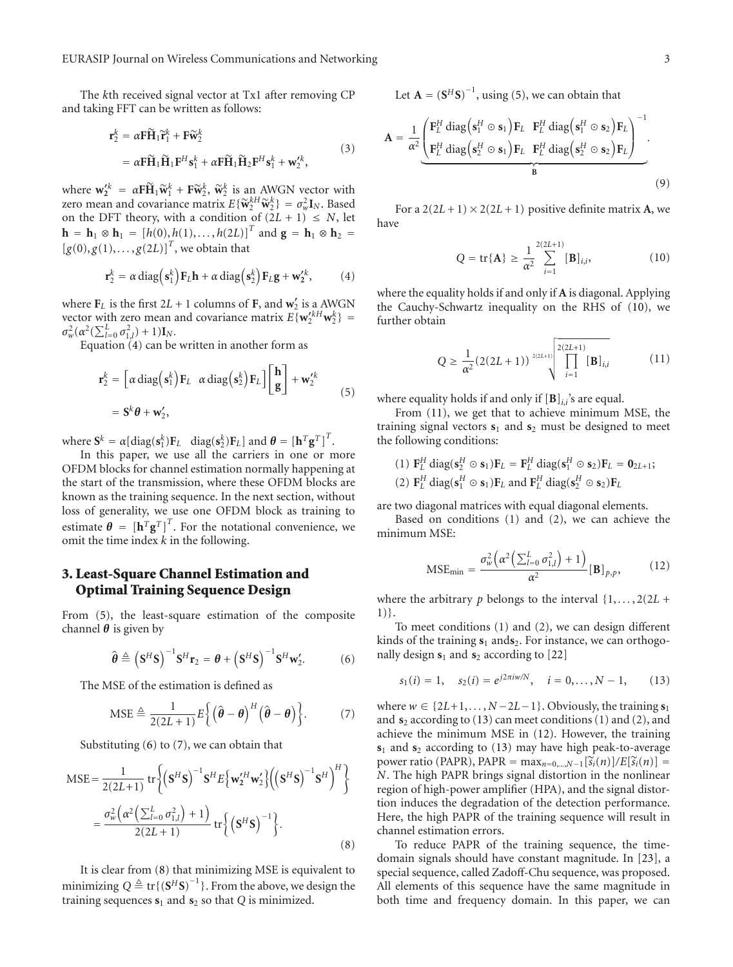The *k*th received signal vector at Tx1 after removing CP and taking FFT can be written as follows:

$$
\mathbf{r}_2^k = \alpha \mathbf{F} \widetilde{\mathbf{H}}_1 \widetilde{\mathbf{r}}_1^k + \mathbf{F} \widetilde{\mathbf{w}}_2^k
$$
  
=  $\alpha \mathbf{F} \widetilde{\mathbf{H}}_1 \widetilde{\mathbf{H}}_1 \mathbf{F}^H \mathbf{s}_1^k + \alpha \mathbf{F} \widetilde{\mathbf{H}}_1 \widetilde{\mathbf{H}}_2 \mathbf{F}^H \mathbf{s}_1^k + \mathbf{w}_2^{\prime k}$ , (3)

where  $\mathbf{w}_2^{\prime k} = \alpha \mathbf{F} \widetilde{\mathbf{H}}_1 \widetilde{\mathbf{w}}_1^k + \mathbf{F} \widetilde{\mathbf{w}}_2^k$ ,  $\widetilde{\mathbf{w}}_2^k$  is an AWGN vector with  $\mathbf{z}$ rco mean and covariance matrix  $E\{\widetilde{\mathbf{w}}_1^kH\widetilde{\mathbf{w}}_1^k\} = \sigma^2 \mathbf{I}$ . Based zero mean and covariance matrix  $E\{\widetilde{\mathbf{w}}_k^k H \widetilde{\mathbf{w}}_k^k\} = \sigma_w^2 \mathbf{I}_N$ . Based on the DET theory, with a condition of  $(2L + 1) < N$ , let on the DFT theory, with a condition of  $(2L + 1) \le N$ , let **h** = **h**<sub>1</sub> ⊗ **h**<sub>1</sub> = [*h*(0), *h*(1), *...* , *h*(2*L*)]<sup>*T*</sup> and **g** = **h**<sub>1</sub> ⊗ **h**<sub>2</sub> =  $[g(0), g(1), ..., g(2L)]^T$ , we obtain that

$$
\mathbf{r}_2^k = \alpha \operatorname{diag}\left(\mathbf{s}_1^k\right) \mathbf{F}_L \mathbf{h} + \alpha \operatorname{diag}\left(\mathbf{s}_2^k\right) \mathbf{F}_L \mathbf{g} + \mathbf{w}_2^{\prime k},\tag{4}
$$

where  $\mathbf{F}_L$  is the first  $2L + 1$  columns of **F**, and  $\mathbf{w}'_2$  is a AWGN vector with zero mean and covariance matrix  $E\{w_2^{/kH}w_2^k\}$  =  $\sigma_w^2(\alpha^2(\sum_{l=0}^L \sigma_{1,l}^2)+1)\mathbf{I}_N$ *.* 

Equation (4) can be written in another form as

$$
\mathbf{r}_2^k = \left[ \alpha \operatorname{diag}(\mathbf{s}_1^k) \mathbf{F}_L \ \alpha \operatorname{diag}(\mathbf{s}_2^k) \mathbf{F}_L \right] \left[ \begin{array}{c} \mathbf{h} \\ \mathbf{g} \end{array} \right] + \mathbf{w}_2^{\prime k} \tag{5}
$$

$$
= \mathbf{S}^k \boldsymbol{\theta} + \mathbf{w}_2^{\prime},
$$

where  $\mathbf{S}^k = \alpha[\text{diag}(\mathbf{s}_1^k)\mathbf{F}_L \quad \text{diag}(\mathbf{s}_2^k)\mathbf{F}_L]$  and  $\boldsymbol{\theta} = [\mathbf{h}^T \mathbf{g}^T]^T$ .

In this paper, we use all the carriers in one or more OFDM blocks for channel estimation normally happening at the start of the transmission, where these OFDM blocks are known as the training sequence. In the next section, without loss of generality, we use one OFDM block as training to estimate  $\boldsymbol{\theta} = [\mathbf{h}^T \mathbf{g}^T]^T$ . For the notational convenience, we omit the time index *k* in the following.

# **3. Least-Square Channel Estimation and Optimal Training Sequence Design**

From (5), the least-square estimation of the composite channel *θ* is given by

$$
\hat{\boldsymbol{\theta}} \triangleq \left(\mathbf{S}^H \mathbf{S}\right)^{-1} \mathbf{S}^H \mathbf{r}_2 = \boldsymbol{\theta} + \left(\mathbf{S}^H \mathbf{S}\right)^{-1} \mathbf{S}^H \mathbf{w}_2'.\tag{6}
$$

The MSE of the estimation is defined as

$$
\text{MSE} \triangleq \frac{1}{2(2L+1)} E \left\{ \left( \hat{\boldsymbol{\theta}} - \boldsymbol{\theta} \right)^H \left( \hat{\boldsymbol{\theta}} - \boldsymbol{\theta} \right) \right\}. \tag{7}
$$

Substituting (6) to (7), we can obtain that

$$
MSE = \frac{1}{2(2L+1)} tr \left\{ (\mathbf{S}^{H} \mathbf{S})^{-1} \mathbf{S}^{H} E \left\{ \mathbf{w}_{2}^{'H} \mathbf{w}_{2}^{'} \right\} \left( (\mathbf{S}^{H} \mathbf{S})^{-1} \mathbf{S}^{H} \right)^{H} \right\}
$$
  
= 
$$
\frac{\sigma_{w}^{2} (\alpha^{2} (\sum_{l=0}^{L} \sigma_{1,l}^{2}) + 1)}{2(2L+1)} tr \left\{ (\mathbf{S}^{H} \mathbf{S})^{-1} \right\}.
$$
 (8)

It is clear from (8) that minimizing MSE is equivalent to minimizing  $Q \triangleq \text{tr}\{(\mathbf{S}^H\mathbf{S})^{-1}\}$ . From the above, we design the training sequences **s**<sup>1</sup> and **s**<sup>2</sup> so that *Q* is minimized.

Let  $\mathbf{A} = (\mathbf{S}^H \mathbf{S})^{-1}$ , using (5), we can obtain that

$$
\mathbf{A} = \frac{1}{\alpha^2} \underbrace{\begin{pmatrix} \mathbf{F}_L^H \text{ diag} \big( \mathbf{s}_1^H \odot \mathbf{s}_1 \big) \mathbf{F}_L & \mathbf{F}_L^H \text{ diag} \big( \mathbf{s}_1^H \odot \mathbf{s}_2 \big) \mathbf{F}_L \end{pmatrix}^{-1}}_{\mathbf{B}}.
$$
\n(9)

For a  $2(2L+1) \times 2(2L+1)$  positive definite matrix **A**, we have

$$
Q = \text{tr}\{\mathbf{A}\} \ge \frac{1}{\alpha^2} \sum_{i=1}^{2(2L+1)} [\mathbf{B}]_{i,i}, \tag{10}
$$

where the equality holds if and only if **A** is diagonal. Applying the Cauchy-Schwartz inequality on the RHS of (10), we further obtain

$$
Q \ge \frac{1}{\alpha^2} (2(2L+1))^{2(2L+1)} \prod_{i=1}^{2(2L+1)} [\mathbf{B}]_{i,i}
$$
 (11)

where equality holds if and only if  $[\mathbf{B}]_{ij}$ 's are equal.

From (11), we get that to achieve minimum MSE, the training signal vectors **s**<sup>1</sup> and **s**<sup>2</sup> must be designed to meet the following conditions:

(1) 
$$
\mathbf{F}_L^H
$$
 diag $(\mathbf{s}_2^H \odot \mathbf{s}_1) \mathbf{F}_L = \mathbf{F}_L^H$  diag $(\mathbf{s}_1^H \odot \mathbf{s}_2) \mathbf{F}_L = \mathbf{0}_{2L+1}$ ;  
(2)  $\mathbf{F}_L^H$  diag $(\mathbf{s}_1^H \odot \mathbf{s}_1) \mathbf{F}_L$  and  $\mathbf{F}_L^H$  diag $(\mathbf{s}_2^H \odot \mathbf{s}_2) \mathbf{F}_L$ 

are two diagonal matrices with equal diagonal elements.

Based on conditions (1) and (2), we can achieve the minimum MSE:

$$
\text{MSE}_{\text{min}} = \frac{\sigma_w^2 \left( \alpha^2 \left( \sum_{l=0}^L \sigma_{1,l}^2 \right) + 1 \right)}{\alpha^2} \left[ \mathbf{B} \right]_{p,p},\tag{12}
$$

where the arbitrary *p* belongs to the interval  $\{1, \ldots, 2(2L +$ 1)}.

To meet conditions (1) and (2), we can design different kinds of the training  $s_1$  ands<sub>2</sub>. For instance, we can orthogonally design  $s_1$  and  $s_2$  according to [22]

$$
s_1(i) = 1
$$
,  $s_2(i) = e^{j2\pi i w/N}$ ,  $i = 0,..., N - 1$ , (13)

where  $w \in \{2L+1, \ldots, N-2L-1\}$ . Obviously, the training  $s_1$ and **s**<sup>2</sup> according to (13) can meet conditions (1) and (2), and achieve the minimum MSE in (12). However, the training **s**<sup>1</sup> and **s**<sup>2</sup> according to (13) may have high peak-to-average power ratio (PAPR), PAPR =  $\max_{n=0,...,N-1} [\widetilde{s}_i(n)]/E[\widetilde{s}_i(n)]$  = *N*. The high PAPR brings signal distortion in the nonlinear region of high-power amplifier (HPA), and the signal distortion induces the degradation of the detection performance. Here, the high PAPR of the training sequence will result in channel estimation errors.

To reduce PAPR of the training sequence, the timedomain signals should have constant magnitude. In [23], a special sequence, called Zadoff-Chu sequence, was proposed. All elements of this sequence have the same magnitude in both time and frequency domain. In this paper, we can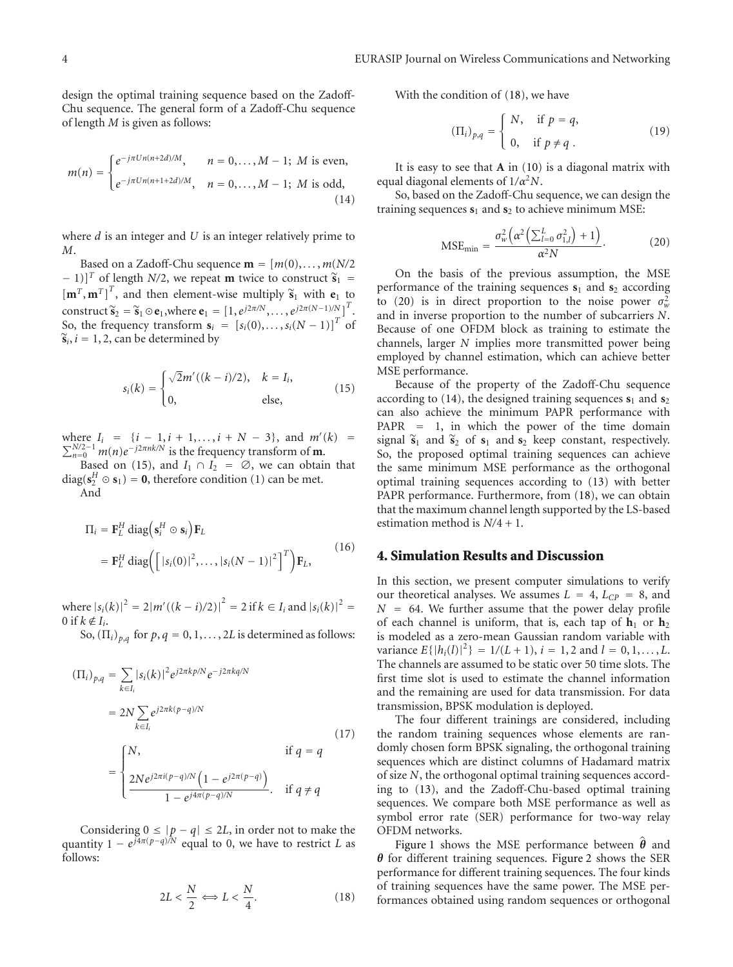design the optimal training sequence based on the Zadoff-Chu sequence. The general form of a Zadoff-Chu sequence of length *M* is given as follows:

$$
m(n) = \begin{cases} e^{-j\pi Un(n+2d)/M}, & n = 0, ..., M-1; M \text{ is even,} \\ e^{-j\pi Un(n+1+2d)/M}, & n = 0, ..., M-1; M \text{ is odd,} \end{cases}
$$
(14)

where *d* is an integer and *U* is an integer relatively prime to *M*.

Based on a Zadoff-Chu sequence  $\mathbf{m} = [m(0), \ldots, m(N/2)]$  $(-1)$ ]<sup>T</sup> of length *N*/2, we repeat **m** twice to construct  $\tilde{s}_1$  =  $[\mathbf{m}^T, \mathbf{m}^T]^T$ , and then element-wise multiply  $\tilde{\mathbf{s}}_1$  with  $\mathbf{e}_1$  to construct  $\tilde{s}_2 = \tilde{s}_1 \odot \mathbf{e}_1$ , where  $\mathbf{e}_1 = [1, e^{j2\pi/N}, \dots, e^{j2\pi(N-1)/N}]^T$ .<br>So the frequency transform  $\mathbf{e}_2 = [s/(0), \dots, (N-1)]^T$  of So, the frequency transform  $\mathbf{s}_i = [s_i(0), \dots, s_i(N-1)]^T$  of  $\widetilde{\mathbf{s}}_i$ ,  $i = 1, 2$ , can be determined by

$$
s_i(k) = \begin{cases} \sqrt{2}m'((k-i)/2), & k = I_i, \\ 0, & \text{else,} \end{cases}
$$
(15)

where  $I_i = \{i-1, i+1, \ldots, i+N-3\}$ , and *m'*  $\Sigma$ here  $I_i = {i - 1, i + 1, ..., i + N - 3}$ , and  $m'(k) = N/2-1$  *m*(*n*)*e*<sup>−*j*2*πnk/N* is the frequency transform of **m**.</sup>

Based on (15), and  $I_1 \cap I_2 = \emptyset$ , we can obtain that  $diag(\mathbf{s}_2^H \odot \mathbf{s}_1) = \mathbf{0}$ , therefore condition (1) can be met.

And

$$
\Pi_{i} = \mathbf{F}_{L}^{H} \operatorname{diag} \left( \mathbf{s}_{i}^{H} \odot \mathbf{s}_{i} \right) \mathbf{F}_{L}
$$
\n
$$
= \mathbf{F}_{L}^{H} \operatorname{diag} \left( \left[ |s_{i}(0)|^{2}, \ldots, |s_{i}(N-1)|^{2} \right]^{T} \right) \mathbf{F}_{L},
$$
\n(16)

where  $|s_i(k)|^2 = 2|m'((k - i)/2)|^2 = 2$  if  $k \in I_i$  and  $|s_i(k)|^2 =$ 0 if  $k \notin I_i$ .

So,  $(\Pi_i)_{p,q}$  for  $p, q = 0, 1, \ldots, 2L$  is determined as follows:

$$
(\Pi_i)_{p,q} = \sum_{k \in I_i} |s_i(k)|^2 e^{j2\pi k p/N} e^{-j2\pi k q/N}
$$
  
=  $2N \sum_{k \in I_i} e^{j2\pi k (p-q)/N}$   
= 
$$
\begin{cases} N, & \text{if } q = q \\ \frac{2Ne^{j2\pi i (p-q)/N} (1 - e^{j2\pi (p-q)})}{1 - e^{j4\pi (p-q)/N}}. & \text{if } q \neq q \end{cases}
$$
(17)

Considering  $0 \leq |p - q| \leq 2L$ , in order not to make the quantity  $1 - e^{j4\pi(p-q)/N}$  equal to 0, we have to restrict *L* as follows:

$$
2L < \frac{N}{2} \Longleftrightarrow L < \frac{N}{4}.\tag{18}
$$

With the condition of (18), we have

$$
(\Pi_i)_{p,q} = \begin{cases} N, & \text{if } p = q, \\ 0, & \text{if } p \neq q. \end{cases}
$$
 (19)

It is easy to see that **A** in (10) is a diagonal matrix with equal diagonal elements of 1*/α*<sup>2</sup>*N*.

So, based on the Zadoff-Chu sequence, we can design the training sequences **s**<sup>1</sup> and **s**<sup>2</sup> to achieve minimum MSE:

$$
\text{MSE}_{\text{min}} = \frac{\sigma_w^2 \left( \alpha^2 \left( \sum_{l=0}^L \sigma_{1,l}^2 \right) + 1 \right)}{\alpha^2 N}.
$$
 (20)

On the basis of the previous assumption, the MSE performance of the training sequences  $s_1$  and  $s_2$  according to (20) is in direct proportion to the noise power  $\sigma_w^2$ and in inverse proportion to the number of subcarriers *N*. Because of one OFDM block as training to estimate the channels, larger *N* implies more transmitted power being employed by channel estimation, which can achieve better MSE performance.

Because of the property of the Zadoff-Chu sequence according to  $(14)$ , the designed training sequences  $s_1$  and  $s_2$ can also achieve the minimum PAPR performance with PAPR = 1, in which the power of the time domain signal  $\tilde{s}_1$  and  $\tilde{s}_2$  of  $s_1$  and  $s_2$  keep constant, respectively. So, the proposed optimal training sequences can achieve the same minimum MSE performance as the orthogonal optimal training sequences according to (13) with better PAPR performance. Furthermore, from (18), we can obtain that the maximum channel length supported by the LS-based estimation method is *N/*4 + 1.

# **4. Simulation Results and Discussion**

In this section, we present computer simulations to verify our theoretical analyses. We assumes  $L = 4$ ,  $L_{CP} = 8$ , and  $N = 64$ . We further assume that the power delay profile of each channel is uniform, that is, each tap of  $h_1$  or  $h_2$ is modeled as a zero-mean Gaussian random variable with variance  $E\{|h_i(l)|^2\} = 1/(L+1), i = 1, 2$  and  $l = 0, 1, ..., L$ . The channels are assumed to be static over 50 time slots. The first time slot is used to estimate the channel information and the remaining are used for data transmission. For data transmission, BPSK modulation is deployed.

The four different trainings are considered, including the random training sequences whose elements are randomly chosen form BPSK signaling, the orthogonal training sequences which are distinct columns of Hadamard matrix of size *N*, the orthogonal optimal training sequences according to (13), and the Zadoff-Chu-based optimal training sequences. We compare both MSE performance as well as symbol error rate (SER) performance for two-way relay OFDM networks.

Figure 1 shows the MSE performance between  $\hat{\theta}$  and *θ* for different training sequences. Figure 2 shows the SER performance for different training sequences. The four kinds of training sequences have the same power. The MSE performances obtained using random sequences or orthogonal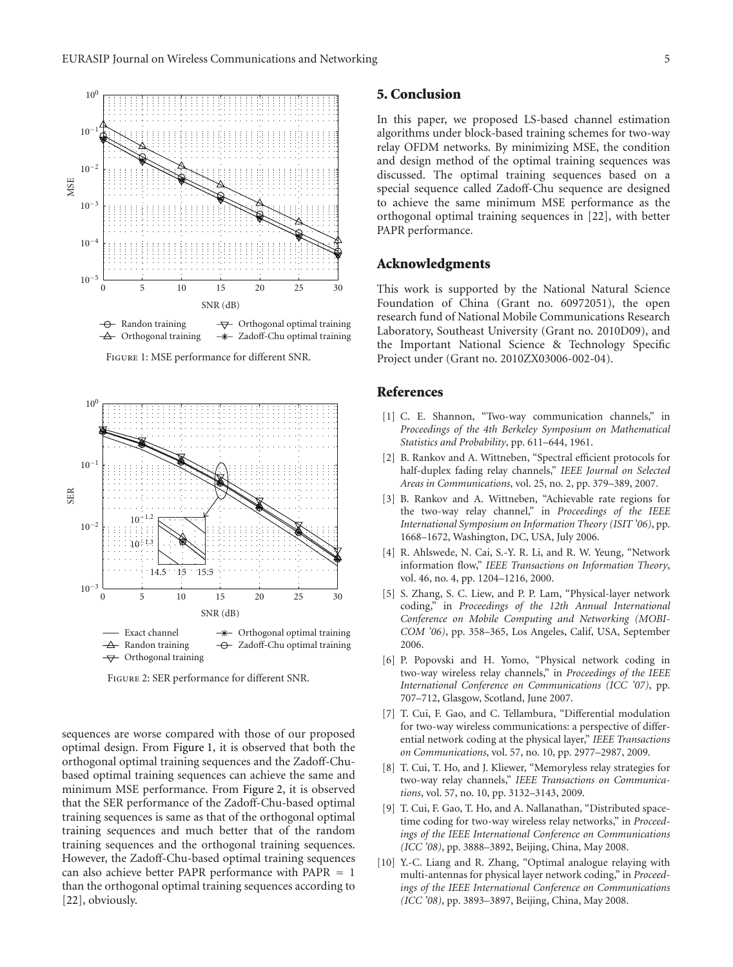

Figure 1: MSE performance for different SNR.



Figure 2: SER performance for different SNR.

sequences are worse compared with those of our proposed optimal design. From Figure 1, it is observed that both the orthogonal optimal training sequences and the Zadoff-Chubased optimal training sequences can achieve the same and minimum MSE performance. From Figure 2, it is observed that the SER performance of the Zadoff-Chu-based optimal training sequences is same as that of the orthogonal optimal training sequences and much better that of the random training sequences and the orthogonal training sequences. However, the Zadoff-Chu-based optimal training sequences can also achieve better PAPR performance with PAPR = 1 than the orthogonal optimal training sequences according to [22], obviously.

# **5. Conclusion**

In this paper, we proposed LS-based channel estimation algorithms under block-based training schemes for two-way relay OFDM networks. By minimizing MSE, the condition and design method of the optimal training sequences was discussed. The optimal training sequences based on a special sequence called Zadoff-Chu sequence are designed to achieve the same minimum MSE performance as the orthogonal optimal training sequences in [22], with better PAPR performance.

# **Acknowledgments**

This work is supported by the National Natural Science Foundation of China (Grant no. 60972051), the open research fund of National Mobile Communications Research Laboratory, Southeast University (Grant no. 2010D09), and the Important National Science & Technology Specific Project under (Grant no. 2010ZX03006-002-04).

### **References**

- [1] C. E. Shannon, "Two-way communication channels," in *Proceedings of the 4th Berkeley Symposium on Mathematical Statistics and Probability*, pp. 611–644, 1961.
- [2] B. Rankov and A. Wittneben, "Spectral efficient protocols for half-duplex fading relay channels," *IEEE Journal on Selected Areas in Communications*, vol. 25, no. 2, pp. 379–389, 2007.
- [3] B. Rankov and A. Wittneben, "Achievable rate regions for the two-way relay channel," in *Proceedings of the IEEE International Symposium on Information Theory (ISIT '06)*, pp. 1668–1672, Washington, DC, USA, July 2006.
- [4] R. Ahlswede, N. Cai, S.-Y. R. Li, and R. W. Yeung, "Network" information flow," *IEEE Transactions on Information Theory*, vol. 46, no. 4, pp. 1204–1216, 2000.
- [5] S. Zhang, S. C. Liew, and P. P. Lam, "Physical-layer network coding," in *Proceedings of the 12th Annual International Conference on Mobile Computing and Networking (MOBI-COM '06)*, pp. 358–365, Los Angeles, Calif, USA, September 2006.
- [6] P. Popovski and H. Yomo, "Physical network coding in two-way wireless relay channels," in *Proceedings of the IEEE International Conference on Communications (ICC '07)*, pp. 707–712, Glasgow, Scotland, June 2007.
- [7] T. Cui, F. Gao, and C. Tellambura, "Differential modulation for two-way wireless communications: a perspective of differential network coding at the physical layer," *IEEE Transactions on Communications*, vol. 57, no. 10, pp. 2977–2987, 2009.
- [8] T. Cui, T. Ho, and J. Kliewer, "Memoryless relay strategies for two-way relay channels," *IEEE Transactions on Communications*, vol. 57, no. 10, pp. 3132–3143, 2009.
- [9] T. Cui, F. Gao, T. Ho, and A. Nallanathan, "Distributed spacetime coding for two-way wireless relay networks," in *Proceedings of the IEEE International Conference on Communications (ICC '08)*, pp. 3888–3892, Beijing, China, May 2008.
- [10] Y.-C. Liang and R. Zhang, "Optimal analogue relaying with multi-antennas for physical layer network coding," in *Proceedings of the IEEE International Conference on Communications (ICC '08)*, pp. 3893–3897, Beijing, China, May 2008.